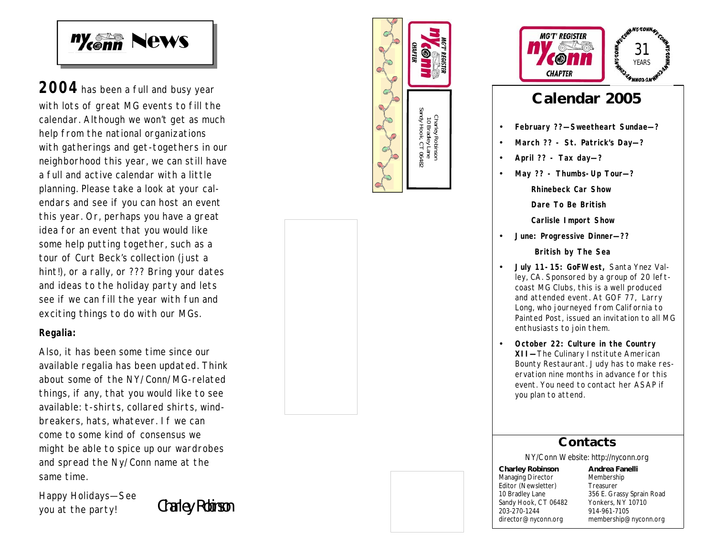

2004 has been a full and busy year with lots of great MG events to fill the calendar. Although we won't get as much help from the national organizations with gatherings and get -togethers in our neighborhood this year, we can still have a full and active calendar with a little planning. Please take a look at your calendars and see if you can host an event this year. Or, perhaps you have a great idea for an event that you would like some help putting together, such as a tour of Curt Beck's collection (just a hint!), or a rally, or ??? Bring your dates and ideas to the holiday party and lets see if we can fill the year with fun and exciting things to do with our MGs.

### **Regalia:**

Also, it has been some time since our available regalia has been updated. Think about some of the NY/Conn/MG -related things, if any, that you would like to see available: t -shirts, collared shirts, windbreakers, hats, whatever. If we can come to some kind of consensus we might be able to spice up our wardrobes and spread the Ny/Conn name at the same time.

Happy Holidays—See you at the party! Charley Robinson





# **Calendar 2005**

- **February ?? —Sweetheart Sundae —?**
- **March ?? St. Patrick's Day—?**
- **April ?? Tax day—?**
- **May ?? Thumbs -Up Tour —?**

**Rhinebeck Car Show**

**Dare To Be British**

**Carlisle Import Show**

• **June: Progressive Dinner —??**

 **British by The Sea**

- **July 11 -15: GoFWest,** Santa Ynez Valley, CA. Sponsored by a group of 20 leftcoast MG Clubs, this is a well produced and attended event. At GOF 77, Larry Long, who journeyed from California to Painted Post, issued an invitation to all MG enthusiasts to join them.
- **October 22: Culture in the Country XII —**The Culinary Institute American Bounty Restaurant. Judy has to make reservation nine months in advance for this event. You need to contact her ASAP if you plan to attend.

# **Contacts**

NY/Conn Website: http://nyconn.org

**Charley Robinson** Managing Director Editor (Newsletter) 10 Bradley Lane Sandy Hook, CT 06482 203-270-1244 director@nyconn.org

**Andrea Fanelli** Membership Treasurer 356 E. Grassy Sprain Road Yonkers, NY 10710 914-961 -7105 membership@nyconn.org